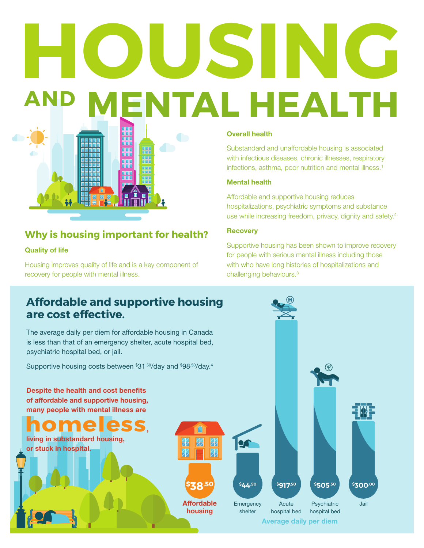# **HOUSING AND MENTAL HEALTH**

## **Why is housing important for health?**

**HHF** 

## Quality of life

Housing improves quality of life and is a key component of recovery for people with mental illness.

### Overall health

Substandard and unaffordable housing is associated with infectious diseases, chronic illnesses, respiratory infections, asthma, poor nutrition and mental illness.<sup>1</sup>

### Mental health

Affordable and supportive housing reduces hospitalizations, psychiatric symptoms and substance use while increasing freedom, privacy, dignity and safety.<sup>2</sup>

#### **Recovery**

Supportive housing has been shown to improve recovery for people with serious mental illness including those with who have long histories of hospitalizations and challenging behaviours.3